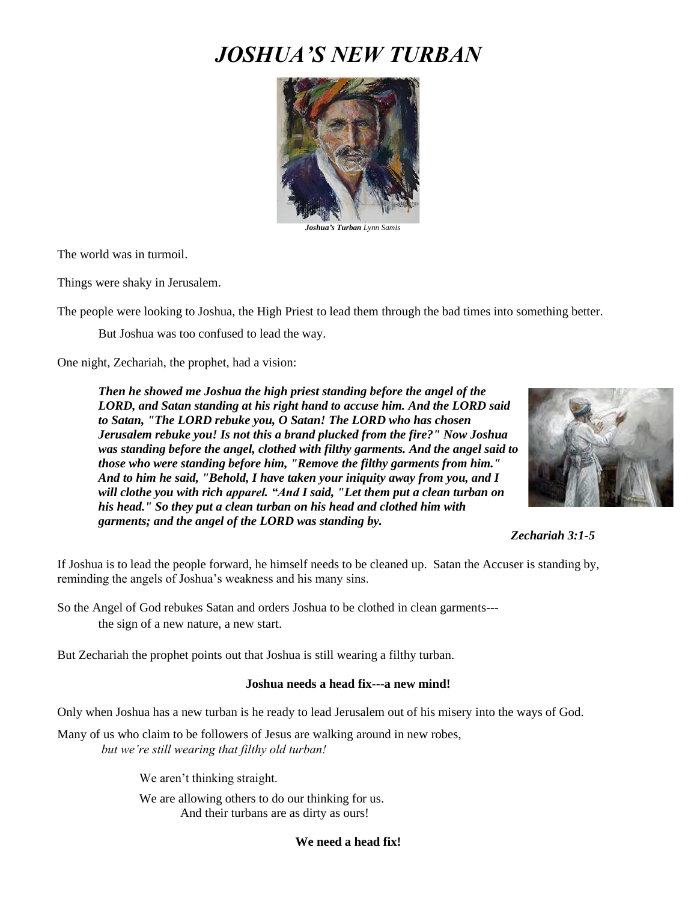# *JOSHUA'S NEW TURBAN*



 *Joshua's Turban Lynn Samis*

The world was in turmoil.

Things were shaky in Jerusalem.

The people were looking to Joshua, the High Priest to lead them through the bad times into something better.

But Joshua was too confused to lead the way.

One night, Zechariah, the prophet, had a vision:

*Then he showed me Joshua the high priest standing before the angel of the LORD, and Satan standing at his right hand to accuse him. And the LORD said to Satan, "The LORD rebuke you, O Satan! The LORD who has chosen Jerusalem rebuke you! Is not this a brand plucked from the fire?" Now Joshua was standing before the angel, clothed with filthy garments. And the angel said to those who were standing before him, "Remove the filthy garments from him." And to him he said, "Behold, I have taken your iniquity away from you, and I will clothe you with rich apparel. "And I said, "Let them put a clean turban on his head." So they put a clean turban on his head and clothed him with garments; and the angel of the LORD was standing by.* 



## *Zechariah 3:1-5*

If Joshua is to lead the people forward, he himself needs to be cleaned up. Satan the Accuser is standing by, reminding the angels of Joshua's weakness and his many sins.

So the Angel of God rebukes Satan and orders Joshua to be clothed in clean garments-- the sign of a new nature, a new start.

But Zechariah the prophet points out that Joshua is still wearing a filthy turban.

#### **Joshua needs a head fix---a new mind!**

Only when Joshua has a new turban is he ready to lead Jerusalem out of his misery into the ways of God.

Many of us who claim to be followers of Jesus are walking around in new robes, *but we're still wearing that filthy old turban!* 

We aren't thinking straight.

We are allowing others to do our thinking for us. And their turbans are as dirty as ours!

### **We need a head fix!**